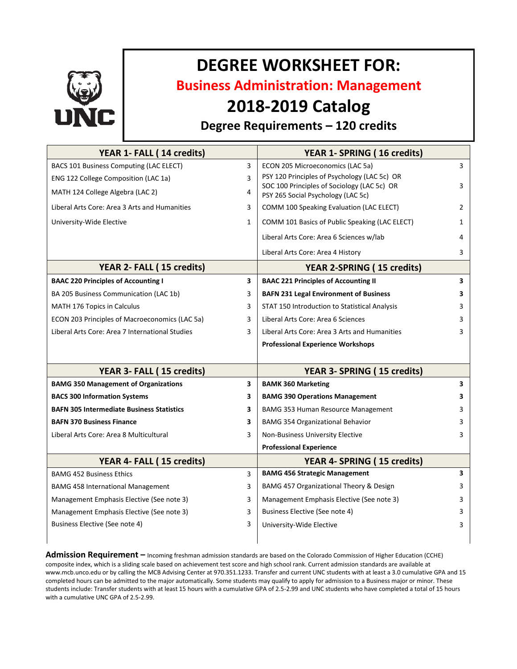

# **DEGREE WORKSHEET FOR:**

**Business Administration: Management**

## **2018-2019 Catalog**

### **Degree Requirements – 120 credits**

| YEAR 1- FALL (14 credits)                        |              | YEAR 1- SPRING (16 credits)                                                       |   |
|--------------------------------------------------|--------------|-----------------------------------------------------------------------------------|---|
| BACS 101 Business Computing (LAC ELECT)          | 3            | ECON 205 Microeconomics (LAC 5a)                                                  | 3 |
| ENG 122 College Composition (LAC 1a)             | 3            | PSY 120 Principles of Psychology (LAC 5c) OR                                      |   |
| MATH 124 College Algebra (LAC 2)                 | 4            | SOC 100 Principles of Sociology (LAC 5c) OR<br>PSY 265 Social Psychology (LAC 5c) | 3 |
| Liberal Arts Core: Area 3 Arts and Humanities    | 3            | COMM 100 Speaking Evaluation (LAC ELECT)                                          | 2 |
| University-Wide Elective                         | $\mathbf{1}$ | COMM 101 Basics of Public Speaking (LAC ELECT)                                    | 1 |
|                                                  |              | Liberal Arts Core: Area 6 Sciences w/lab                                          | 4 |
|                                                  |              | Liberal Arts Core: Area 4 History                                                 | 3 |
| YEAR 2- FALL (15 credits)                        |              | <b>YEAR 2-SPRING (15 credits)</b>                                                 |   |
| <b>BAAC 220 Principles of Accounting I</b>       | 3            | <b>BAAC 221 Principles of Accounting II</b>                                       | 3 |
| BA 205 Business Communication (LAC 1b)           | 3            | <b>BAFN 231 Legal Environment of Business</b>                                     | 3 |
| MATH 176 Topics in Calculus                      | 3            | STAT 150 Introduction to Statistical Analysis                                     | 3 |
| ECON 203 Principles of Macroeconomics (LAC 5a)   | 3            | Liberal Arts Core: Area 6 Sciences                                                | 3 |
| Liberal Arts Core: Area 7 International Studies  | 3            | Liberal Arts Core: Area 3 Arts and Humanities                                     | 3 |
|                                                  |              | <b>Professional Experience Workshops</b>                                          |   |
|                                                  |              |                                                                                   |   |
| YEAR 3- FALL (15 credits)                        |              | YEAR 3- SPRING (15 credits)                                                       |   |
| <b>BAMG 350 Management of Organizations</b>      | 3            | <b>BAMK 360 Marketing</b>                                                         | 3 |
| <b>BACS 300 Information Systems</b>              | 3            | <b>BAMG 390 Operations Management</b>                                             | 3 |
| <b>BAFN 305 Intermediate Business Statistics</b> | 3            | BAMG 353 Human Resource Management                                                | 3 |
| <b>BAFN 370 Business Finance</b>                 | 3            | <b>BAMG 354 Organizational Behavior</b>                                           | 3 |
| Liberal Arts Core: Area 8 Multicultural          | 3            | Non-Business University Elective                                                  | 3 |
|                                                  |              | <b>Professional Experience</b>                                                    |   |
| YEAR 4- FALL (15 credits)                        |              | YEAR 4- SPRING (15 credits)                                                       |   |
| <b>BAMG 452 Business Ethics</b>                  | 3            | <b>BAMG 456 Strategic Management</b>                                              | 3 |
| <b>BAMG 458 International Management</b>         | 3            | BAMG 457 Organizational Theory & Design                                           | 3 |
| Management Emphasis Elective (See note 3)        | 3            | Management Emphasis Elective (See note 3)                                         | 3 |
| Management Emphasis Elective (See note 3)        | 3            | Business Elective (See note 4)                                                    | 3 |
| Business Elective (See note 4)                   | 3            | University-Wide Elective                                                          | 3 |
|                                                  |              |                                                                                   |   |

**Admission Requirement –** Incoming freshman admission standards are based on the Colorado Commission of Higher Education (CCHE) composite index, which is a sliding scale based on achievement test score and high school rank. Current admission standards are available at www.mcb.unco.edu or by calling the MCB Advising Center at 970.351.1233. Transfer and current UNC students with at least a 3.0 cumulative GPA and 15 completed hours can be admitted to the major automatically. Some students may qualify to apply for admission to a Business major or minor. These students include: Transfer students with at least 15 hours with a cumulative GPA of 2.5-2.99 and UNC students who have completed a total of 15 hours with a cumulative UNC GPA of 2.5-2.99.